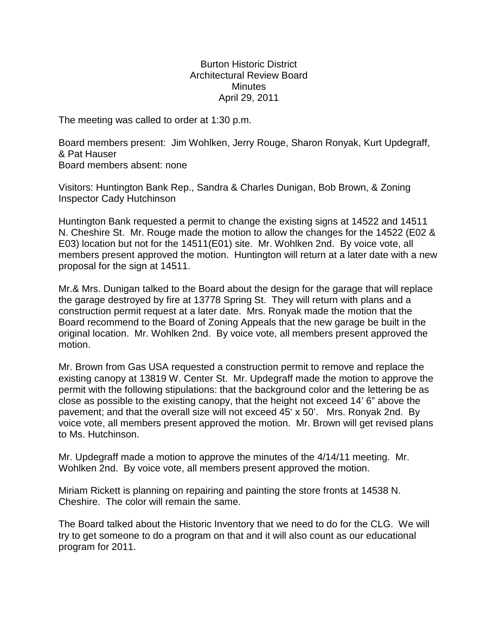## Burton Historic District Architectural Review Board **Minutes** April 29, 2011

The meeting was called to order at 1:30 p.m.

Board members present: Jim Wohlken, Jerry Rouge, Sharon Ronyak, Kurt Updegraff, & Pat Hauser Board members absent: none

Visitors: Huntington Bank Rep., Sandra & Charles Dunigan, Bob Brown, & Zoning Inspector Cady Hutchinson

Huntington Bank requested a permit to change the existing signs at 14522 and 14511 N. Cheshire St. Mr. Rouge made the motion to allow the changes for the 14522 (E02 & E03) location but not for the 14511(E01) site. Mr. Wohlken 2nd. By voice vote, all members present approved the motion. Huntington will return at a later date with a new proposal for the sign at 14511.

Mr.& Mrs. Dunigan talked to the Board about the design for the garage that will replace the garage destroyed by fire at 13778 Spring St. They will return with plans and a construction permit request at a later date. Mrs. Ronyak made the motion that the Board recommend to the Board of Zoning Appeals that the new garage be built in the original location. Mr. Wohlken 2nd. By voice vote, all members present approved the motion.

Mr. Brown from Gas USA requested a construction permit to remove and replace the existing canopy at 13819 W. Center St. Mr. Updegraff made the motion to approve the permit with the following stipulations: that the background color and the lettering be as close as possible to the existing canopy, that the height not exceed 14' 6" above the pavement; and that the overall size will not exceed 45' x 50'. Mrs. Ronyak 2nd. By voice vote, all members present approved the motion. Mr. Brown will get revised plans to Ms. Hutchinson.

Mr. Updegraff made a motion to approve the minutes of the 4/14/11 meeting. Mr. Wohlken 2nd. By voice vote, all members present approved the motion.

Miriam Rickett is planning on repairing and painting the store fronts at 14538 N. Cheshire. The color will remain the same.

The Board talked about the Historic Inventory that we need to do for the CLG. We will try to get someone to do a program on that and it will also count as our educational program for 2011.